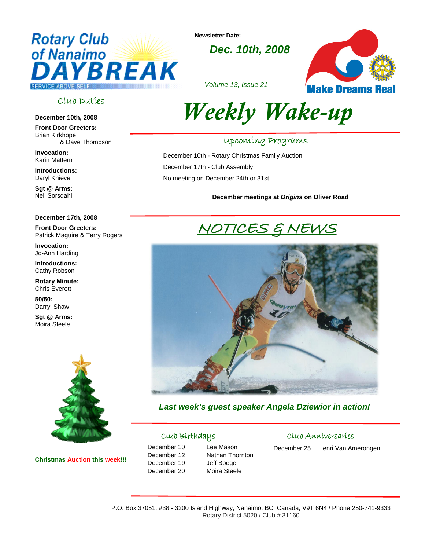# **Rotary Club** of Nanaimo YBREAK **SERVICE ABOVE SELF**

**Newsletter Date:** 

*Dec. 10th, 2008*



*Volume 13, Issue 21* 

### Club Duties

#### **December 10th, 2008**

**Front Door Greeters:** Brian Kirkhope & Dave Thompson

**Invocation:** Karin Mattern

**Introductions:** Daryl Knievel

**Sgt @ Arms:** Neil Sorsdahl

#### **December 17th, 2008**

**Front Door Greeters:**  Patrick Maguire & Terry Rogers

**Invocation:**  Jo-Ann Harding

**Introductions:** Cathy Robson

**Rotary Minute:** Chris Everett

**50/50:** Darryl Shaw

**Sgt @ Arms:** Moira Steele



**Christmas Auction this week!!!** 



### Upcoming Programs

December 10th - Rotary Christmas Family Auction December 17th - Club Assembly No meeting on December 24th or 31st

**December meetings at** *Origins* **on Oliver Road** 

# NOTICES & NEWS



*Last week's guest speaker Angela Dziewior in action!* 

### Club Birthdays

December 10 Lee Mason December 19 Jeff Boegel December 20 Moira Steele

December 12 Nathan Thornton

### Club Anniversaries

December 25 Henri Van Amerongen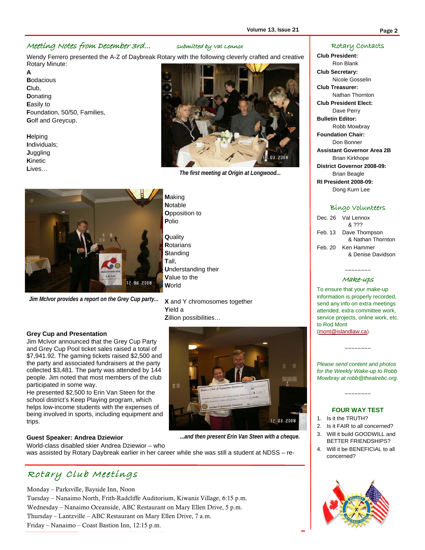#### Meeting Notes from December 3rd… submitted by Val Lennox

Wendy Ferrero presented the A-Z of Daybreak Rotary with the following cleverly crafted and creative Rotary Minute:

**A B**odacious **C**lub, **D**onating **E**asily to **F**oundation, 50/50, Families, **G**olf and Greycup.

**H**elping **I**ndividuals; **J**uggling **K**inetic **L**ives…



*Jim McIvor provides a report on the Grey Cup party...* 



*The first meeting at Origin at Longwood...* 

**N**otable **O**pposition to **P**olio **Q**uality **R**otarians **S**tanding **T**all, **U**nderstanding their

**V**alue to the **W**orld

**M**aking

**X** and Y chromosomes together **Y**ield a **Z**illion possibilities…

#### **Grey Cup and Presentation**

Jim McIvor announced that the Grey Cup Party and Grey Cup Pool ticket sales raised a total of \$7,941.92. The gaming tickets raised \$2,500 and the party and associated fundraisers at the party collected \$3,481. The party was attended by 144 people. Jim noted that most members of the club participated in some way.

He presented \$2,500 to Erin Van Steen for the school district's Keep Playing program, which helps low-income students with the expenses of being involved in sports, including equipment and trips.

#### **Guest Speaker: Andrea Dziewior**

World-class disabled skier Andrea Dziewior – who



*...and then present Erin Van Steen with a cheque.* 

was assisted by Rotary Daybreak earlier in her career while she was still a student at NDSS – re-

## Rotary Club Meetings

Monday – Parksville, Bayside Inn, Noon

Tuesday – Nanaimo North, Frith-Radcliffe Auditorium, Kiwanis Village, 6:15 p.m. Wednesday – Nanaimo Oceanside, ABC Restaurant on Mary Ellen Drive, 5 p.m. Thursday – Lantzville – ABC Restaurant on Mary Ellen Drive, 7 a.m. Friday – Nanaimo – Coast Bastion Inn, 12:15 p.m.

#### Rotary Contacts

**Club President:** 

Ron Blank **Club Secretary:**  Nicole Gosselin **Club Treasurer:**  Nathan Thornton **Club President Elect:**  Dave Perry **Bulletin Editor:**  Robb Mowbray **Foundation Chair:**  Don Bonner **Assistant Governor Area 2B**  Brian Kirkhope **District Governor 2008-09:**  Brian Beagle **RI President 2008-09:**  Dong Kurn Lee

#### Bingo Volunteers

| Dec. 26 Val Lennox    |
|-----------------------|
| & ???                 |
| Feb. 13 Dave Thompson |
| & Nathan Thornton     |
| Feb. 20 Ken Hammer    |
| & Denise Davidson     |
|                       |

#### ~~~~~~~~ Make-ups

To ensure that your make-up information is properly recorded, send any info on extra meetings attended, extra committee work, service projects, online work, etc. to Rod Mont (mont@islandlaw.ca).

*Please send content and photos for the Weekly Wake-up to Robb Mowbray at robb@theatrebc.org*.

~~~~~~~~

#### **FOUR WAY TEST**

~~~~~~~~

- 1. Is it the TRUTH?
- 2. Is it FAIR to all concerned?
- 3. Will it build GOODWILL and BETTER FRIENDSHIPS?
- 4. Will it be BENEFICIAL to all concerned?